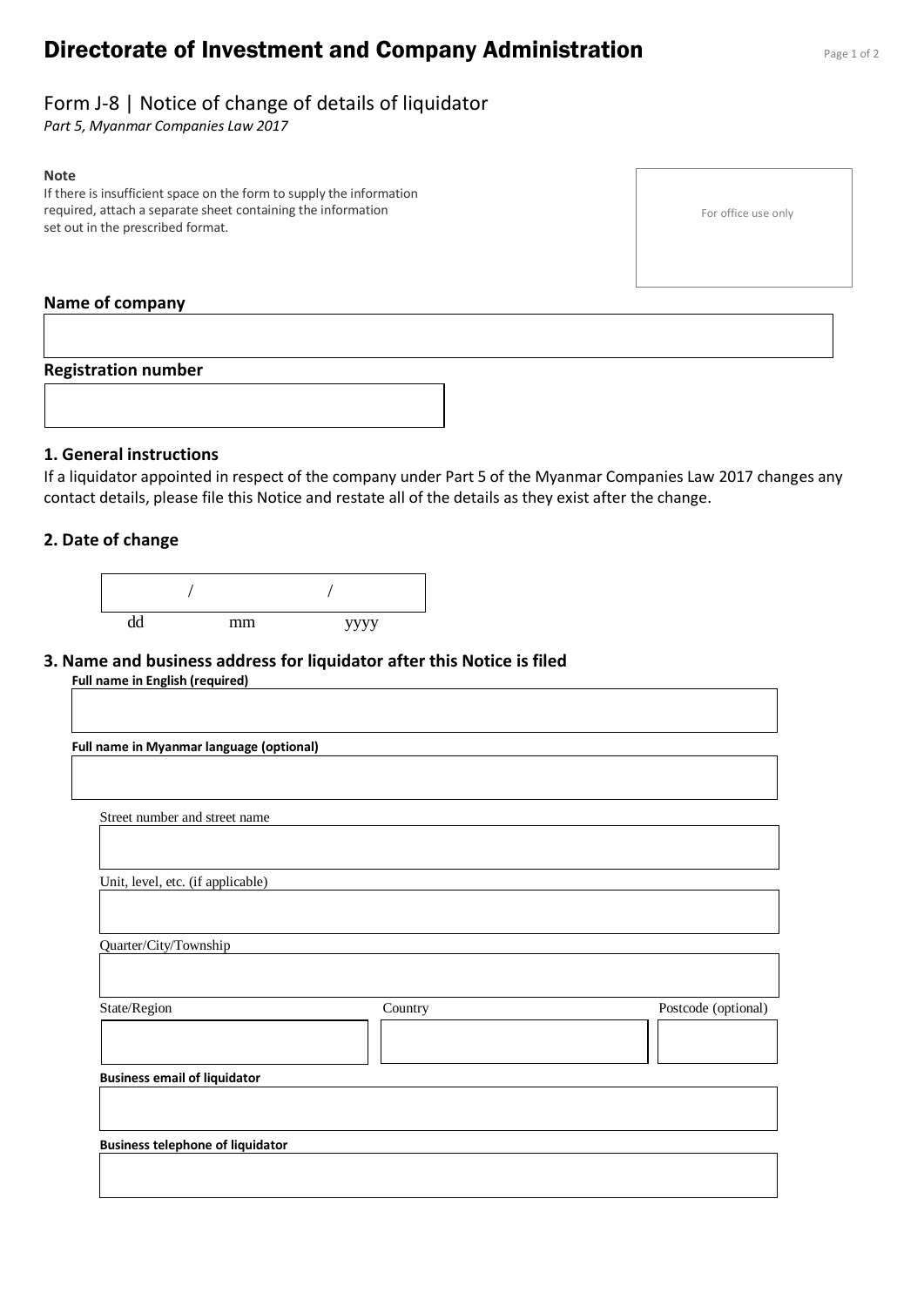# **Directorate of Investment and Company Administration** Page 1 of 2

## Form J-8 | Notice of change of details of liquidator

*Part 5, Myanmar Companies Law 2017*

#### **Note**

If there is insufficient space on the form to supply the information required, attach a separate sheet containing the information set out in the prescribed format.

## **Name of company**

#### **Registration number**

## **1. General instructions**

If a liquidator appointed in respect of the company under Part 5 of the Myanmar Companies Law 2017 changes any contact details, please file this Notice and restate all of the details as they exist after the change.

#### **2. Date of change**

| dd | mm | уууу |
|----|----|------|

#### **3. Name and business address for liquidator after this Notice is filed**

**Full name in English (required)**

| Full name in Myanmar language (optional) |         |                     |
|------------------------------------------|---------|---------------------|
| Street number and street name            |         |                     |
|                                          |         |                     |
| Unit, level, etc. (if applicable)        |         |                     |
| Quarter/City/Township                    |         |                     |
| State/Region                             | Country | Postcode (optional) |
|                                          |         |                     |
| <b>Business email of liquidator</b>      |         |                     |
|                                          |         |                     |
| <b>Business telephone of liquidator</b>  |         |                     |

For office use only